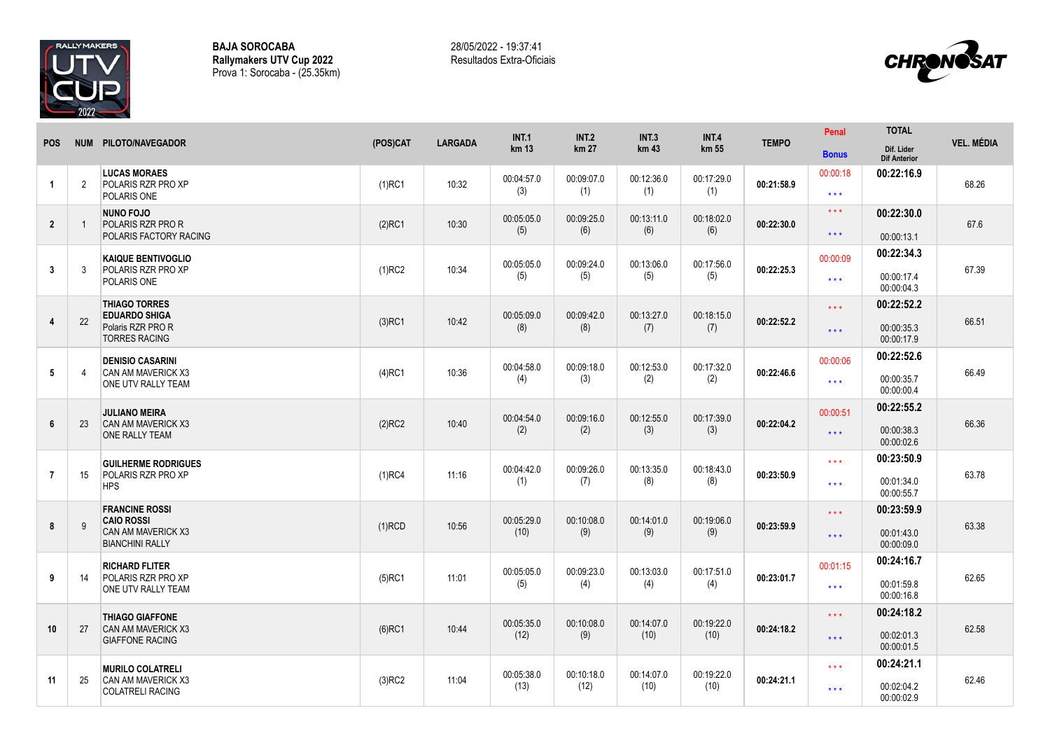

**BAJA SOROCABA Rallymakers UTV Cup 2022** Prova 1: Sorocaba - (25.35km) 28/05/2022 - 19:37:41 Resultados Extra-Oficiais



|                         |                |                                                                                            |           |                | <b>INT.1</b>       | <b>INT.2</b>      | <b>INT.3</b>      | INT.4              |              | Penal                                    | <b>TOTAL</b>                           |                   |
|-------------------------|----------------|--------------------------------------------------------------------------------------------|-----------|----------------|--------------------|-------------------|-------------------|--------------------|--------------|------------------------------------------|----------------------------------------|-------------------|
| <b>POS</b>              |                | NUM PILOTO/NAVEGADOR                                                                       | (POS)CAT  | <b>LARGADA</b> | km 13              | km 27             | km 43             | km 55              | <b>TEMPO</b> | <b>Bonus</b>                             | Dif. Lider<br><b>Dif Anterior</b>      | <b>VEL. MÉDIA</b> |
| $\overline{1}$          | $\overline{2}$ | <b>LUCAS MORAES</b><br>POLARIS RZR PRO XP<br>POLARIS ONE                                   | $(1)$ RC1 | 10:32          | 00:04:57.0<br>(3)  | 00:09:07.0<br>(1) | 00:12:36.0<br>(1) | 00:17:29.0<br>(1)  | 00:21:58.9   | 00:00:18<br>$\star\star\star$            | 00:22:16.9                             | 68.26             |
| $\overline{2}$          |                | <b>NUNO FOJO</b><br>POLARIS RZR PRO R<br>POLARIS FACTORY RACING                            | $(2)$ RC1 | 10:30          | 00:05:05.0<br>(5)  | 00:09:25.0<br>(6) | 00:13:11.0<br>(6) | 00:18:02.0<br>(6)  | 00:22:30.0   | $\star\star\star$<br>$\star \star \star$ | 00:22:30.0<br>00:00:13.1               | 67.6              |
| $\mathbf{3}$            | 3              | <b>KAIQUE BENTIVOGLIO</b><br>POLARIS RZR PRO XP<br>POLARIS ONE                             | $(1)$ RC2 | 10:34          | 00:05:05.0<br>(5)  | 00:09:24.0<br>(5) | 00:13:06.0<br>(5) | 00:17:56.0<br>(5)  | 00:22:25.3   | 00:00:09<br>$\star \star \star$          | 00:22:34.3<br>00:00:17.4<br>00:00:04.3 | 67.39             |
| $\overline{\mathbf{4}}$ | 22             | THIAGO TORRES<br><b>EDUARDO SHIGA</b><br>Polaris RZR PRO R<br><b>TORRES RACING</b>         | $(3)$ RC1 | 10:42          | 00:05:09.0<br>(8)  | 00:09:42.0<br>(8) | 00:13:27.0<br>(7) | 00:18:15.0<br>(7)  | 00:22:52.2   | $\star\star\star$<br>$\star\star\star$   | 00:22:52.2<br>00:00:35.3<br>00:00:17.9 | 66.51             |
| 5                       | $\overline{4}$ | <b>DENISIO CASARINI</b><br><b>CAN AM MAVERICK X3</b><br>ONE UTV RALLY TEAM                 | $(4)$ RC1 | 10:36          | 00:04:58.0<br>(4)  | 00:09:18.0<br>(3) | 00:12:53.0<br>(2) | 00:17:32.0<br>(2)  | 00:22:46.6   | 00:00:06<br>$***$                        | 00:22:52.6<br>00:00:35.7<br>00:00:00.4 | 66.49             |
| 6                       | 23             | <b>JULIANO MEIRA</b><br><b>CAN AM MAVERICK X3</b><br>ONE RALLY TEAM                        | $(2)$ RC2 | 10:40          | 00:04:54.0<br>(2)  | 00:09:16.0<br>(2) | 00:12:55.0<br>(3) | 00:17:39.0<br>(3)  | 00:22:04.2   | 00:00:51<br>$\star\star\star$            | 00:22:55.2<br>00:00:38.3<br>00:00:02.6 | 66.36             |
| $\overline{7}$          | 15             | <b>GUILHERME RODRIGUES</b><br><b>POLARIS RZR PRO XP</b><br><b>HPS</b>                      | $(1)$ RC4 | 11:16          | 00:04:42.0<br>(1)  | 00:09:26.0<br>(7) | 00:13:35.0<br>(8) | 00:18:43.0<br>(8)  | 00:23:50.9   | $***$<br>$\star\star\star$               | 00:23:50.9<br>00:01:34.0<br>00:00:55.7 | 63.78             |
| 8                       | g              | <b>FRANCINE ROSSI</b><br><b>CAIO ROSSI</b><br>CAN AM MAVERICK X3<br><b>BIANCHINI RALLY</b> | $(1)$ RCD | 10:56          | 00:05:29.0<br>(10) | 00:10:08.0<br>(9) | 00:14:01.0<br>(9) | 00:19:06.0<br>(9)  | 00:23:59.9   | $***$<br>$\star\star\star$               | 00:23:59.9<br>00:01:43.0<br>00:00:09.0 | 63.38             |
| 9                       | 14             | <b>RICHARD FLITER</b><br>POLARIS RZR PRO XP<br>ONE UTV RALLY TEAM                          | $(5)$ RC1 | 11:01          | 00:05:05.0<br>(5)  | 00:09:23.0<br>(4) | 00:13:03.0<br>(4) | 00:17:51.0<br>(4)  | 00:23:01.7   | 00:01:15<br>$\star \star \star$          | 00:24:16.7<br>00:01:59.8<br>00:00:16.8 | 62.65             |
|                         | 27             | <b>THIAGO GIAFFONE</b><br><b>CAN AM MAVERICK X3</b><br><b>GIAFFONE RACING</b>              | $(6)$ RC1 |                | 00:05:35.0         | 00:10:08.0        | 00:14:07.0        | 00:19:22.0         |              | $***$                                    | 00:24:18.2                             |                   |
| 10                      |                |                                                                                            |           | 10:44          | (12)               | (9)               | (10)              | (10)               | 00:24:18.2   | $***$                                    | 00:02:01.3<br>00:00:01.5               | 62.58             |
|                         |                | <b>MURILO COLATRELI</b><br><b>CAN AM MAVERICK X3</b><br><b>COLATRELI RACING</b>            | $(3)$ RC2 |                | 00:05:38.0         | 00:10:18.0        | 00:14:07.0        | 00:19:22.0<br>(10) | 00:24:21.1   | $\star\star\star$                        | 00:24:21.1                             |                   |
| 11                      | 25             |                                                                                            |           | 11:04          | (13)               | (12)              | (10)              |                    |              | $\star\star\star$                        | 00:02:04.2<br>00:00:02.9               | 62.46             |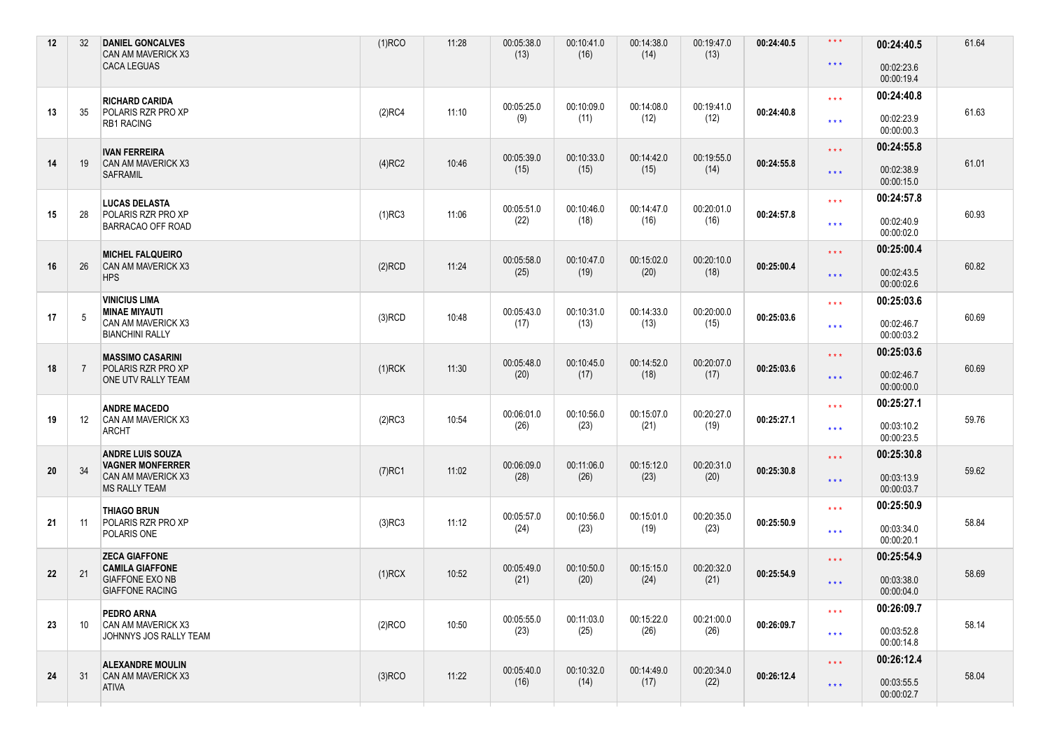| $\star\star\star$<br><b>CACA LEGUAS</b><br>00:02:23.6<br>00:00:19.4<br>00:24:40.8<br>$\star\star\star$<br><b>RICHARD CARIDA</b><br>00:05:25.0<br>00:10:09.0<br>00:19:41.0<br>00:14:08.0<br>13<br>35<br>POLARIS RZR PRO XP<br>$(2)$ RC4<br>00:24:40.8<br>61.63<br>11:10<br>(9)<br>(11)<br>(12)<br>(12)<br>00:02:23.9<br>$***$<br><b>RB1 RACING</b><br>00:00:00.3<br>00:24:55.8<br>$\star\star\star$<br><b>IVAN FERREIRA</b><br>00:05:39.0<br>00:10:33.0<br>00:14:42.0<br>00:19:55.0<br>14<br>00:24:55.8<br>61.01<br>19<br><b>CAN AM MAVERICK X3</b><br>$(4)$ RC2<br>10:46<br>(15)<br>(15)<br>(15)<br>(14)<br>00:02:38.9<br>$***$<br><b>SAFRAMIL</b><br>00:00:15.0<br>00:24:57.8<br>$***$<br><b>LUCAS DELASTA</b><br>00:05:51.0<br>00:10:46.0<br>00:14:47.0<br>00:20:01.0<br>28<br>POLARIS RZR PRO XP<br>$(1)$ RC3<br>11:06<br>00:24:57.8<br>60.93<br>15<br>(22)<br>(18)<br>(16)<br>(16)<br>00:02:40.9<br>$***$<br><b>BARRACAO OFF ROAD</b><br>00:00:02.0<br>00:25:00.4<br>$***$<br><b>MICHEL FALQUEIRO</b><br>00:20:10.0<br>00:05:58.0<br>00:10:47.0<br>00:15:02.0<br>16<br>$(2)$ RCD<br>00:25:00.4<br>60.82<br>26<br><b>CAN AM MAVERICK X3</b><br>11:24<br>(25)<br>(19)<br>(20)<br>(18)<br>00:02:43.5<br>$\star \star \star$<br><b>HPS</b><br>00:00:02.6<br><b>VINICIUS LIMA</b><br>00:25:03.6<br>$\star\star\star$<br><b>MINAE MIYAUTI</b><br>00:05:43.0<br>00:10:31.0<br>00:14:33.0<br>00:20:00.0<br>17<br>10:48<br>00:25:03.6<br>60.69<br>-5<br>$(3)$ RCD<br>CAN AM MAVERICK X3<br>(17)<br>(13)<br>(13)<br>(15)<br>00:02:46.7<br>$\star\star\star$<br><b>BIANCHINI RALLY</b><br>00:00:03.2<br>00:25:03.6<br>$\star\star\star$<br><b>MASSIMO CASARINI</b><br>00:05:48.0<br>00:10:45.0<br>00:14:52.0<br>00:20:07.0<br>18<br>POLARIS RZR PRO XP<br>11:30<br>00:25:03.6<br>60.69<br>$(1)$ RCK<br>7<br>(20)<br>(17)<br>(18)<br>(17)<br>00:02:46.7<br>$\star\star\star$<br>ONE UTV RALLY TEAM<br>00:00:00.0<br>00:25:27.1<br>$\star\star\star$<br><b>ANDRE MACEDO</b><br>00:06:01.0<br>00:10:56.0<br>00:15:07.0<br>00:20:27.0<br>19<br>$(2)$ RC3<br>10:54<br>00:25:27.1<br>59.76<br>12<br>CAN AM MAVERICK X3<br>(26)<br>(23)<br>(21)<br>(19)<br>00:03:10.2<br>$\star\star\star$<br>ARCHT<br>00:00:23.5<br><b>ANDRE LUIS SOUZA</b><br>00:25:30.8<br>$\star\star\star$<br><b>VAGNER MONFERRER</b><br>00:06:09.0<br>00:20:31.0<br>00:11:06.0<br>00:15:12.0<br>20<br>34<br>$(7)$ RC1<br>11:02<br>00:25:30.8<br>59.62<br>CAN AM MAVERICK X3<br>(28)<br>(26)<br>(23)<br>(20)<br>00:03:13.9<br>$***$<br><b>MS RALLY TEAM</b><br>00:00:03.7<br>00:25:50.9<br>$***$<br><b>THIAGO BRUN</b><br>00:10:56.0<br>00:05:57.0<br>00:15:01.0<br>00:20:35.0<br>POLARIS RZR PRO XP<br>$(3)$ RC3<br>58.84<br>21<br>11<br>11:12<br>00:25:50.9<br>(23)<br>(19)<br>(23)<br>(24)<br>00:03:34.0<br>$\star\star\star$<br>POLARIS ONE<br>00:00:20.1<br><b>ZECA GIAFFONE</b><br>00:25:54.9<br>$\star\star\star$<br>00:05:49.0<br>00:20:32.0<br><b>CAMILA GIAFFONE</b><br>00:10:50.0<br>00:15:15.0<br>22<br>21<br>$(1)$ RCX<br>10:52<br>00:25:54.9<br>58.69<br><b>GIAFFONE EXO NB</b><br>(24)<br>(21)<br>(20)<br>(21)<br>00:03:38.0<br>$***$<br><b>GIAFFONE RACING</b><br>00:00:04.0<br>00:26:09.7<br>$\star\star\star$<br>PEDRO ARNA<br>00:05:55.0<br>00:11:03.0<br>00:15:22.0<br>00:21:00.0<br>10:50<br>58.14<br>23<br>10 <sup>°</sup><br><b>CAN AM MAVERICK X3</b><br>$(2)$ RCO<br>00:26:09.7<br>(23)<br>(25)<br>(26)<br>(26)<br>00:03:52.8<br>$\star\star\star$<br>JOHNNYS JOS RALLY TEAM<br>00:00:14.8<br>00:26:12.4<br>$\star\star\star$<br><b>ALEXANDRE MOULIN</b><br>00:20:34.0<br>00:05:40.0<br>00:10:32.0<br>00:14:49.0<br>24<br>$(3)$ RCO<br>11:22<br>00:26:12.4<br>58.04<br>31<br>CAN AM MAVERICK X3<br>(16)<br>(17)<br>(22)<br>(14)<br>00:03:55.5<br>$\star\star\star$<br>ATIVA | 12 | 32 | <b>DANIEL GONCALVES</b><br>CAN AM MAVERICK X3 | $(1)$ RCO | 11:28 | 00:05:38.0<br>(13) | 00:10:41.0<br>(16) | 00:14:38.0<br>(14) | 00:19:47.0<br>(13) | 00:24:40.5 | $\star$ $\star$ $\star$ | 00:24:40.5 | 61.64 |
|-------------------------------------------------------------------------------------------------------------------------------------------------------------------------------------------------------------------------------------------------------------------------------------------------------------------------------------------------------------------------------------------------------------------------------------------------------------------------------------------------------------------------------------------------------------------------------------------------------------------------------------------------------------------------------------------------------------------------------------------------------------------------------------------------------------------------------------------------------------------------------------------------------------------------------------------------------------------------------------------------------------------------------------------------------------------------------------------------------------------------------------------------------------------------------------------------------------------------------------------------------------------------------------------------------------------------------------------------------------------------------------------------------------------------------------------------------------------------------------------------------------------------------------------------------------------------------------------------------------------------------------------------------------------------------------------------------------------------------------------------------------------------------------------------------------------------------------------------------------------------------------------------------------------------------------------------------------------------------------------------------------------------------------------------------------------------------------------------------------------------------------------------------------------------------------------------------------------------------------------------------------------------------------------------------------------------------------------------------------------------------------------------------------------------------------------------------------------------------------------------------------------------------------------------------------------------------------------------------------------------------------------------------------------------------------------------------------------------------------------------------------------------------------------------------------------------------------------------------------------------------------------------------------------------------------------------------------------------------------------------------------------------------------------------------------------------------------------------------------------------------------------------------------------------------------------------------------------------------------------------------------------------------------------------------------------------------------------------------------------------------------------------------------------------------------------------------------------------------------------------------------------------------------------------------------------------------------------------------------------------------------------------------------------------------------------------------------------------------------------------------------|----|----|-----------------------------------------------|-----------|-------|--------------------|--------------------|--------------------|--------------------|------------|-------------------------|------------|-------|
|                                                                                                                                                                                                                                                                                                                                                                                                                                                                                                                                                                                                                                                                                                                                                                                                                                                                                                                                                                                                                                                                                                                                                                                                                                                                                                                                                                                                                                                                                                                                                                                                                                                                                                                                                                                                                                                                                                                                                                                                                                                                                                                                                                                                                                                                                                                                                                                                                                                                                                                                                                                                                                                                                                                                                                                                                                                                                                                                                                                                                                                                                                                                                                                                                                                                                                                                                                                                                                                                                                                                                                                                                                                                                                                                                             |    |    |                                               |           |       |                    |                    |                    |                    |            |                         |            |       |
|                                                                                                                                                                                                                                                                                                                                                                                                                                                                                                                                                                                                                                                                                                                                                                                                                                                                                                                                                                                                                                                                                                                                                                                                                                                                                                                                                                                                                                                                                                                                                                                                                                                                                                                                                                                                                                                                                                                                                                                                                                                                                                                                                                                                                                                                                                                                                                                                                                                                                                                                                                                                                                                                                                                                                                                                                                                                                                                                                                                                                                                                                                                                                                                                                                                                                                                                                                                                                                                                                                                                                                                                                                                                                                                                                             |    |    |                                               |           |       |                    |                    |                    |                    |            |                         |            |       |
|                                                                                                                                                                                                                                                                                                                                                                                                                                                                                                                                                                                                                                                                                                                                                                                                                                                                                                                                                                                                                                                                                                                                                                                                                                                                                                                                                                                                                                                                                                                                                                                                                                                                                                                                                                                                                                                                                                                                                                                                                                                                                                                                                                                                                                                                                                                                                                                                                                                                                                                                                                                                                                                                                                                                                                                                                                                                                                                                                                                                                                                                                                                                                                                                                                                                                                                                                                                                                                                                                                                                                                                                                                                                                                                                                             |    |    |                                               |           |       |                    |                    |                    |                    |            |                         |            |       |
|                                                                                                                                                                                                                                                                                                                                                                                                                                                                                                                                                                                                                                                                                                                                                                                                                                                                                                                                                                                                                                                                                                                                                                                                                                                                                                                                                                                                                                                                                                                                                                                                                                                                                                                                                                                                                                                                                                                                                                                                                                                                                                                                                                                                                                                                                                                                                                                                                                                                                                                                                                                                                                                                                                                                                                                                                                                                                                                                                                                                                                                                                                                                                                                                                                                                                                                                                                                                                                                                                                                                                                                                                                                                                                                                                             |    |    |                                               |           |       |                    |                    |                    |                    |            |                         |            |       |
|                                                                                                                                                                                                                                                                                                                                                                                                                                                                                                                                                                                                                                                                                                                                                                                                                                                                                                                                                                                                                                                                                                                                                                                                                                                                                                                                                                                                                                                                                                                                                                                                                                                                                                                                                                                                                                                                                                                                                                                                                                                                                                                                                                                                                                                                                                                                                                                                                                                                                                                                                                                                                                                                                                                                                                                                                                                                                                                                                                                                                                                                                                                                                                                                                                                                                                                                                                                                                                                                                                                                                                                                                                                                                                                                                             |    |    |                                               |           |       |                    |                    |                    |                    |            |                         |            |       |
|                                                                                                                                                                                                                                                                                                                                                                                                                                                                                                                                                                                                                                                                                                                                                                                                                                                                                                                                                                                                                                                                                                                                                                                                                                                                                                                                                                                                                                                                                                                                                                                                                                                                                                                                                                                                                                                                                                                                                                                                                                                                                                                                                                                                                                                                                                                                                                                                                                                                                                                                                                                                                                                                                                                                                                                                                                                                                                                                                                                                                                                                                                                                                                                                                                                                                                                                                                                                                                                                                                                                                                                                                                                                                                                                                             |    |    |                                               |           |       |                    |                    |                    |                    |            |                         |            |       |
|                                                                                                                                                                                                                                                                                                                                                                                                                                                                                                                                                                                                                                                                                                                                                                                                                                                                                                                                                                                                                                                                                                                                                                                                                                                                                                                                                                                                                                                                                                                                                                                                                                                                                                                                                                                                                                                                                                                                                                                                                                                                                                                                                                                                                                                                                                                                                                                                                                                                                                                                                                                                                                                                                                                                                                                                                                                                                                                                                                                                                                                                                                                                                                                                                                                                                                                                                                                                                                                                                                                                                                                                                                                                                                                                                             |    |    |                                               |           |       |                    |                    |                    |                    |            |                         |            |       |
|                                                                                                                                                                                                                                                                                                                                                                                                                                                                                                                                                                                                                                                                                                                                                                                                                                                                                                                                                                                                                                                                                                                                                                                                                                                                                                                                                                                                                                                                                                                                                                                                                                                                                                                                                                                                                                                                                                                                                                                                                                                                                                                                                                                                                                                                                                                                                                                                                                                                                                                                                                                                                                                                                                                                                                                                                                                                                                                                                                                                                                                                                                                                                                                                                                                                                                                                                                                                                                                                                                                                                                                                                                                                                                                                                             |    |    |                                               |           |       |                    |                    |                    |                    |            |                         |            |       |
|                                                                                                                                                                                                                                                                                                                                                                                                                                                                                                                                                                                                                                                                                                                                                                                                                                                                                                                                                                                                                                                                                                                                                                                                                                                                                                                                                                                                                                                                                                                                                                                                                                                                                                                                                                                                                                                                                                                                                                                                                                                                                                                                                                                                                                                                                                                                                                                                                                                                                                                                                                                                                                                                                                                                                                                                                                                                                                                                                                                                                                                                                                                                                                                                                                                                                                                                                                                                                                                                                                                                                                                                                                                                                                                                                             |    |    |                                               |           |       |                    |                    |                    |                    |            |                         |            |       |
|                                                                                                                                                                                                                                                                                                                                                                                                                                                                                                                                                                                                                                                                                                                                                                                                                                                                                                                                                                                                                                                                                                                                                                                                                                                                                                                                                                                                                                                                                                                                                                                                                                                                                                                                                                                                                                                                                                                                                                                                                                                                                                                                                                                                                                                                                                                                                                                                                                                                                                                                                                                                                                                                                                                                                                                                                                                                                                                                                                                                                                                                                                                                                                                                                                                                                                                                                                                                                                                                                                                                                                                                                                                                                                                                                             |    |    |                                               |           |       |                    |                    |                    |                    |            |                         |            |       |
|                                                                                                                                                                                                                                                                                                                                                                                                                                                                                                                                                                                                                                                                                                                                                                                                                                                                                                                                                                                                                                                                                                                                                                                                                                                                                                                                                                                                                                                                                                                                                                                                                                                                                                                                                                                                                                                                                                                                                                                                                                                                                                                                                                                                                                                                                                                                                                                                                                                                                                                                                                                                                                                                                                                                                                                                                                                                                                                                                                                                                                                                                                                                                                                                                                                                                                                                                                                                                                                                                                                                                                                                                                                                                                                                                             |    |    |                                               |           |       |                    |                    |                    |                    |            |                         |            |       |
|                                                                                                                                                                                                                                                                                                                                                                                                                                                                                                                                                                                                                                                                                                                                                                                                                                                                                                                                                                                                                                                                                                                                                                                                                                                                                                                                                                                                                                                                                                                                                                                                                                                                                                                                                                                                                                                                                                                                                                                                                                                                                                                                                                                                                                                                                                                                                                                                                                                                                                                                                                                                                                                                                                                                                                                                                                                                                                                                                                                                                                                                                                                                                                                                                                                                                                                                                                                                                                                                                                                                                                                                                                                                                                                                                             |    |    |                                               |           |       |                    |                    |                    |                    |            |                         |            |       |
|                                                                                                                                                                                                                                                                                                                                                                                                                                                                                                                                                                                                                                                                                                                                                                                                                                                                                                                                                                                                                                                                                                                                                                                                                                                                                                                                                                                                                                                                                                                                                                                                                                                                                                                                                                                                                                                                                                                                                                                                                                                                                                                                                                                                                                                                                                                                                                                                                                                                                                                                                                                                                                                                                                                                                                                                                                                                                                                                                                                                                                                                                                                                                                                                                                                                                                                                                                                                                                                                                                                                                                                                                                                                                                                                                             |    |    |                                               |           |       |                    |                    |                    |                    |            |                         |            |       |
|                                                                                                                                                                                                                                                                                                                                                                                                                                                                                                                                                                                                                                                                                                                                                                                                                                                                                                                                                                                                                                                                                                                                                                                                                                                                                                                                                                                                                                                                                                                                                                                                                                                                                                                                                                                                                                                                                                                                                                                                                                                                                                                                                                                                                                                                                                                                                                                                                                                                                                                                                                                                                                                                                                                                                                                                                                                                                                                                                                                                                                                                                                                                                                                                                                                                                                                                                                                                                                                                                                                                                                                                                                                                                                                                                             |    |    |                                               |           |       |                    |                    |                    |                    |            |                         |            |       |
|                                                                                                                                                                                                                                                                                                                                                                                                                                                                                                                                                                                                                                                                                                                                                                                                                                                                                                                                                                                                                                                                                                                                                                                                                                                                                                                                                                                                                                                                                                                                                                                                                                                                                                                                                                                                                                                                                                                                                                                                                                                                                                                                                                                                                                                                                                                                                                                                                                                                                                                                                                                                                                                                                                                                                                                                                                                                                                                                                                                                                                                                                                                                                                                                                                                                                                                                                                                                                                                                                                                                                                                                                                                                                                                                                             |    |    |                                               |           |       |                    |                    |                    |                    |            |                         |            |       |
|                                                                                                                                                                                                                                                                                                                                                                                                                                                                                                                                                                                                                                                                                                                                                                                                                                                                                                                                                                                                                                                                                                                                                                                                                                                                                                                                                                                                                                                                                                                                                                                                                                                                                                                                                                                                                                                                                                                                                                                                                                                                                                                                                                                                                                                                                                                                                                                                                                                                                                                                                                                                                                                                                                                                                                                                                                                                                                                                                                                                                                                                                                                                                                                                                                                                                                                                                                                                                                                                                                                                                                                                                                                                                                                                                             |    |    |                                               |           |       |                    |                    |                    |                    |            |                         |            |       |
|                                                                                                                                                                                                                                                                                                                                                                                                                                                                                                                                                                                                                                                                                                                                                                                                                                                                                                                                                                                                                                                                                                                                                                                                                                                                                                                                                                                                                                                                                                                                                                                                                                                                                                                                                                                                                                                                                                                                                                                                                                                                                                                                                                                                                                                                                                                                                                                                                                                                                                                                                                                                                                                                                                                                                                                                                                                                                                                                                                                                                                                                                                                                                                                                                                                                                                                                                                                                                                                                                                                                                                                                                                                                                                                                                             |    |    |                                               |           |       |                    |                    |                    |                    |            |                         |            |       |
|                                                                                                                                                                                                                                                                                                                                                                                                                                                                                                                                                                                                                                                                                                                                                                                                                                                                                                                                                                                                                                                                                                                                                                                                                                                                                                                                                                                                                                                                                                                                                                                                                                                                                                                                                                                                                                                                                                                                                                                                                                                                                                                                                                                                                                                                                                                                                                                                                                                                                                                                                                                                                                                                                                                                                                                                                                                                                                                                                                                                                                                                                                                                                                                                                                                                                                                                                                                                                                                                                                                                                                                                                                                                                                                                                             |    |    |                                               |           |       |                    |                    |                    |                    |            |                         |            |       |
|                                                                                                                                                                                                                                                                                                                                                                                                                                                                                                                                                                                                                                                                                                                                                                                                                                                                                                                                                                                                                                                                                                                                                                                                                                                                                                                                                                                                                                                                                                                                                                                                                                                                                                                                                                                                                                                                                                                                                                                                                                                                                                                                                                                                                                                                                                                                                                                                                                                                                                                                                                                                                                                                                                                                                                                                                                                                                                                                                                                                                                                                                                                                                                                                                                                                                                                                                                                                                                                                                                                                                                                                                                                                                                                                                             |    |    |                                               |           |       |                    |                    |                    |                    |            |                         |            |       |
|                                                                                                                                                                                                                                                                                                                                                                                                                                                                                                                                                                                                                                                                                                                                                                                                                                                                                                                                                                                                                                                                                                                                                                                                                                                                                                                                                                                                                                                                                                                                                                                                                                                                                                                                                                                                                                                                                                                                                                                                                                                                                                                                                                                                                                                                                                                                                                                                                                                                                                                                                                                                                                                                                                                                                                                                                                                                                                                                                                                                                                                                                                                                                                                                                                                                                                                                                                                                                                                                                                                                                                                                                                                                                                                                                             |    |    |                                               |           |       |                    |                    |                    |                    |            |                         |            |       |
|                                                                                                                                                                                                                                                                                                                                                                                                                                                                                                                                                                                                                                                                                                                                                                                                                                                                                                                                                                                                                                                                                                                                                                                                                                                                                                                                                                                                                                                                                                                                                                                                                                                                                                                                                                                                                                                                                                                                                                                                                                                                                                                                                                                                                                                                                                                                                                                                                                                                                                                                                                                                                                                                                                                                                                                                                                                                                                                                                                                                                                                                                                                                                                                                                                                                                                                                                                                                                                                                                                                                                                                                                                                                                                                                                             |    |    |                                               |           |       |                    |                    |                    |                    |            |                         |            |       |
|                                                                                                                                                                                                                                                                                                                                                                                                                                                                                                                                                                                                                                                                                                                                                                                                                                                                                                                                                                                                                                                                                                                                                                                                                                                                                                                                                                                                                                                                                                                                                                                                                                                                                                                                                                                                                                                                                                                                                                                                                                                                                                                                                                                                                                                                                                                                                                                                                                                                                                                                                                                                                                                                                                                                                                                                                                                                                                                                                                                                                                                                                                                                                                                                                                                                                                                                                                                                                                                                                                                                                                                                                                                                                                                                                             |    |    |                                               |           |       |                    |                    |                    |                    |            |                         |            |       |
|                                                                                                                                                                                                                                                                                                                                                                                                                                                                                                                                                                                                                                                                                                                                                                                                                                                                                                                                                                                                                                                                                                                                                                                                                                                                                                                                                                                                                                                                                                                                                                                                                                                                                                                                                                                                                                                                                                                                                                                                                                                                                                                                                                                                                                                                                                                                                                                                                                                                                                                                                                                                                                                                                                                                                                                                                                                                                                                                                                                                                                                                                                                                                                                                                                                                                                                                                                                                                                                                                                                                                                                                                                                                                                                                                             |    |    |                                               |           |       |                    |                    |                    |                    |            |                         |            |       |
|                                                                                                                                                                                                                                                                                                                                                                                                                                                                                                                                                                                                                                                                                                                                                                                                                                                                                                                                                                                                                                                                                                                                                                                                                                                                                                                                                                                                                                                                                                                                                                                                                                                                                                                                                                                                                                                                                                                                                                                                                                                                                                                                                                                                                                                                                                                                                                                                                                                                                                                                                                                                                                                                                                                                                                                                                                                                                                                                                                                                                                                                                                                                                                                                                                                                                                                                                                                                                                                                                                                                                                                                                                                                                                                                                             |    |    |                                               |           |       |                    |                    |                    |                    |            |                         |            |       |
|                                                                                                                                                                                                                                                                                                                                                                                                                                                                                                                                                                                                                                                                                                                                                                                                                                                                                                                                                                                                                                                                                                                                                                                                                                                                                                                                                                                                                                                                                                                                                                                                                                                                                                                                                                                                                                                                                                                                                                                                                                                                                                                                                                                                                                                                                                                                                                                                                                                                                                                                                                                                                                                                                                                                                                                                                                                                                                                                                                                                                                                                                                                                                                                                                                                                                                                                                                                                                                                                                                                                                                                                                                                                                                                                                             |    |    |                                               |           |       |                    |                    |                    |                    |            |                         | 00:00:02.7 |       |